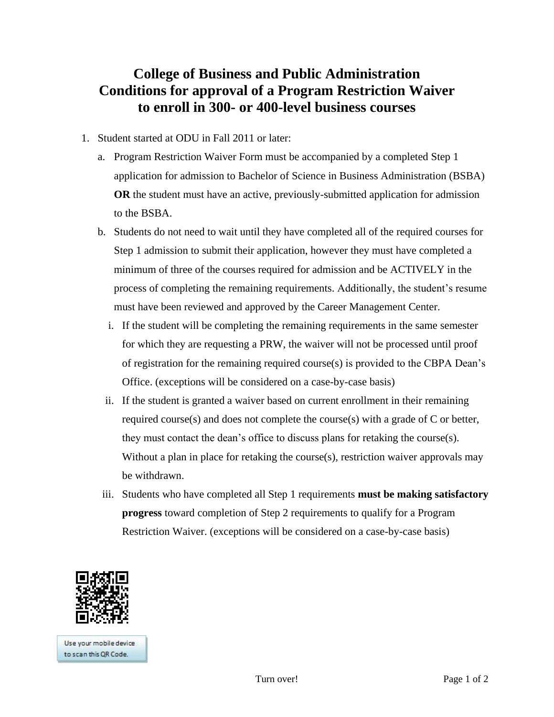## **College of Business and Public Administration Conditions for approval of a Program Restriction Waiver to enroll in 300- or 400-level business courses**

- 1. Student started at ODU in Fall 2011 or later:
	- a. Program Restriction Waiver Form must be accompanied by a completed Step 1 application for admission to Bachelor of Science in Business Administration (BSBA) **OR** the student must have an active, previously-submitted application for admission to the BSBA.
	- b. Students do not need to wait until they have completed all of the required courses for Step 1 admission to submit their application, however they must have completed a minimum of three of the courses required for admission and be ACTIVELY in the process of completing the remaining requirements. Additionally, the student's resume must have been reviewed and approved by the Career Management Center.
		- i. If the student will be completing the remaining requirements in the same semester for which they are requesting a PRW, the waiver will not be processed until proof of registration for the remaining required course(s) is provided to the CBPA Dean's Office. (exceptions will be considered on a case-by-case basis)
		- ii. If the student is granted a waiver based on current enrollment in their remaining required course(s) and does not complete the course(s) with a grade of C or better, they must contact the dean's office to discuss plans for retaking the course(s). Without a plan in place for retaking the course(s), restriction waiver approvals may be withdrawn.
	- iii. Students who have completed all Step 1 requirements **must be making satisfactory progress** toward completion of Step 2 requirements to qualify for a Program Restriction Waiver. (exceptions will be considered on a case-by-case basis)



Use your mobile device to scan this OR Code.